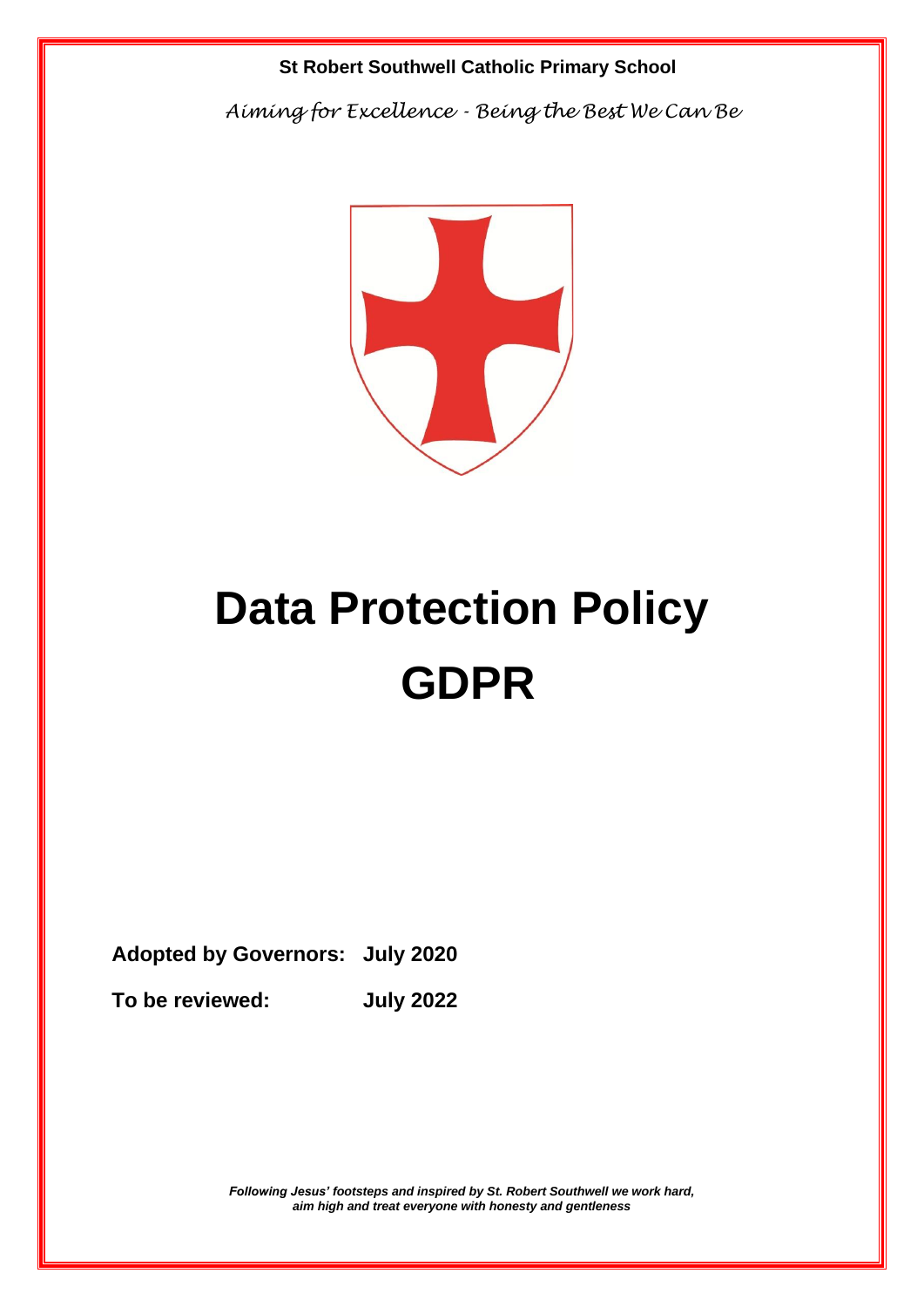### **St Robert Southwell Catholic Primary School**

 *Aiming for Excellence - Being the Best We Can Be*



# **Data Protection Policy GDPR**

**Adopted by Governors: July 2020**

**To be reviewed: July 2022**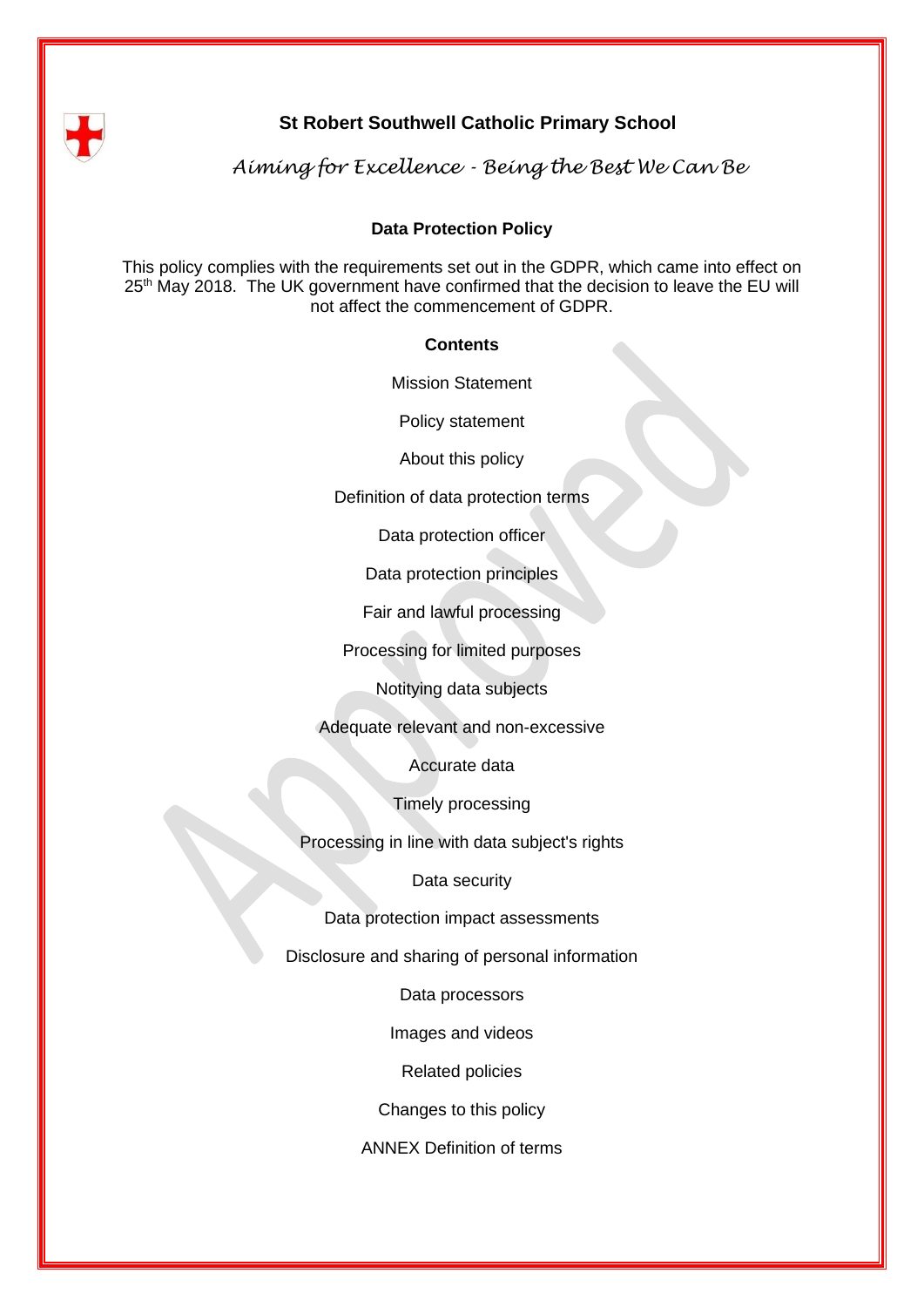

## **St Robert Southwell Catholic Primary School**

 *Aiming for Excellence - Being the Best We Can Be*

#### **Data Protection Policy**

This policy complies with the requirements set out in the GDPR, which came into effect on 25<sup>th</sup> May 2018. The UK government have confirmed that the decision to leave the EU will not affect the commencement of GDPR.

#### **Contents**

Mission Statement

Policy statement

About this policy

Definition of data protection terms

Data protection officer

Data protection principles

Fair and lawful processing

Processing for limited purposes

Notitying data subjects

Adequate relevant and non-excessive

Accurate data

Timely processing

Processing in line with data subject's rights

Data security

Data protection impact assessments

Disclosure and sharing of personal information

Data processors

Images and videos

Related policies

Changes to this policy

ANNEX Definition of terms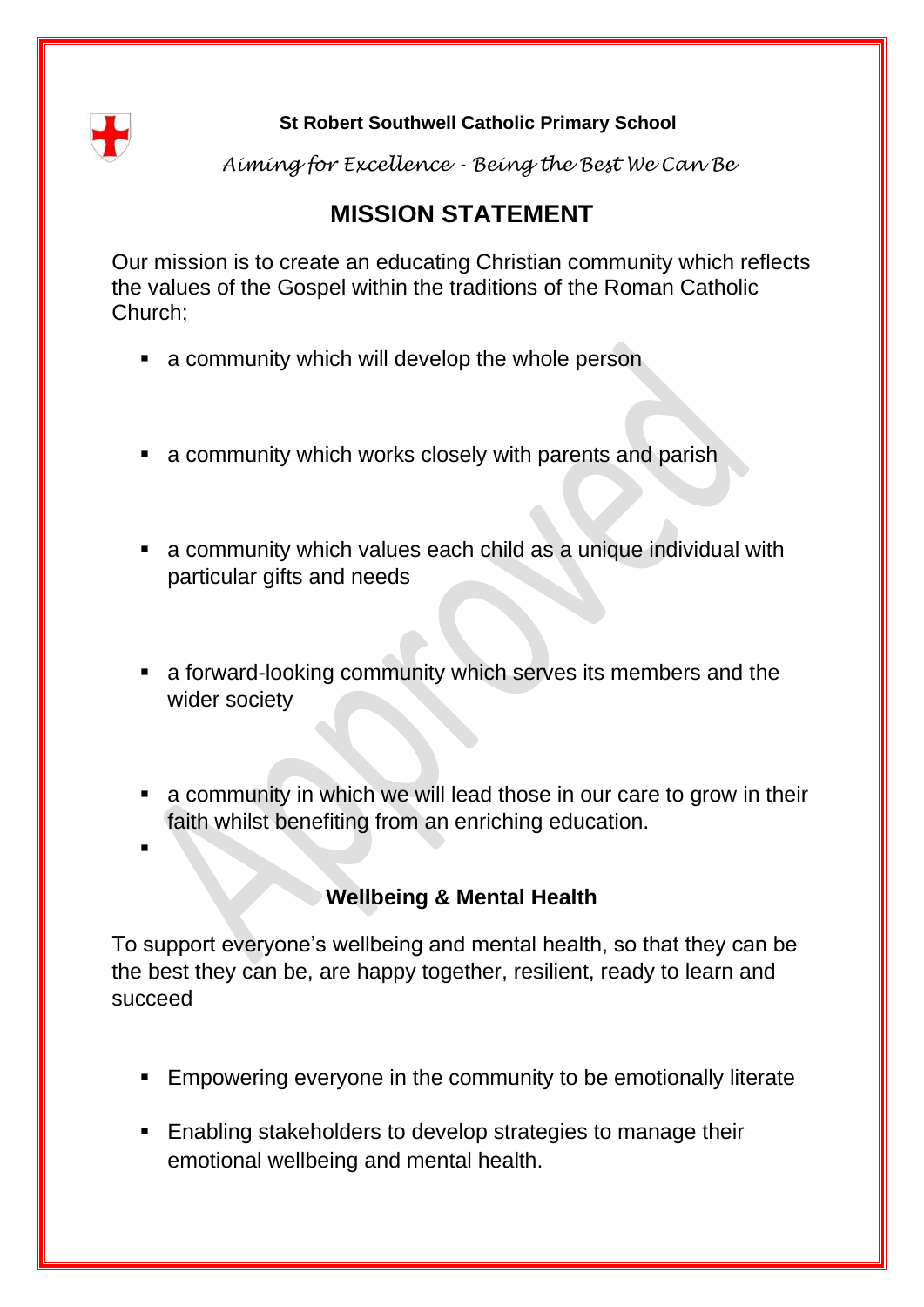

## **St Robert Southwell Catholic Primary School**

*Aiming for Excellence - Being the Best We Can Be*

# **MISSION STATEMENT**

Our mission is to create an educating Christian community which reflects the values of the Gospel within the traditions of the Roman Catholic Church;

- a community which will develop the whole person
- a community which works closely with parents and parish
- a community which values each child as a unique individual with particular gifts and needs
- a forward-looking community which serves its members and the wider society
- a community in which we will lead those in our care to grow in their faith whilst benefiting from an enriching education.
- ▪

# **Wellbeing & Mental Health**

To support everyone's wellbeing and mental health, so that they can be the best they can be, are happy together, resilient, ready to learn and succeed

- **Empowering everyone in the community to be emotionally literate**
- Enabling stakeholders to develop strategies to manage their emotional wellbeing and mental health.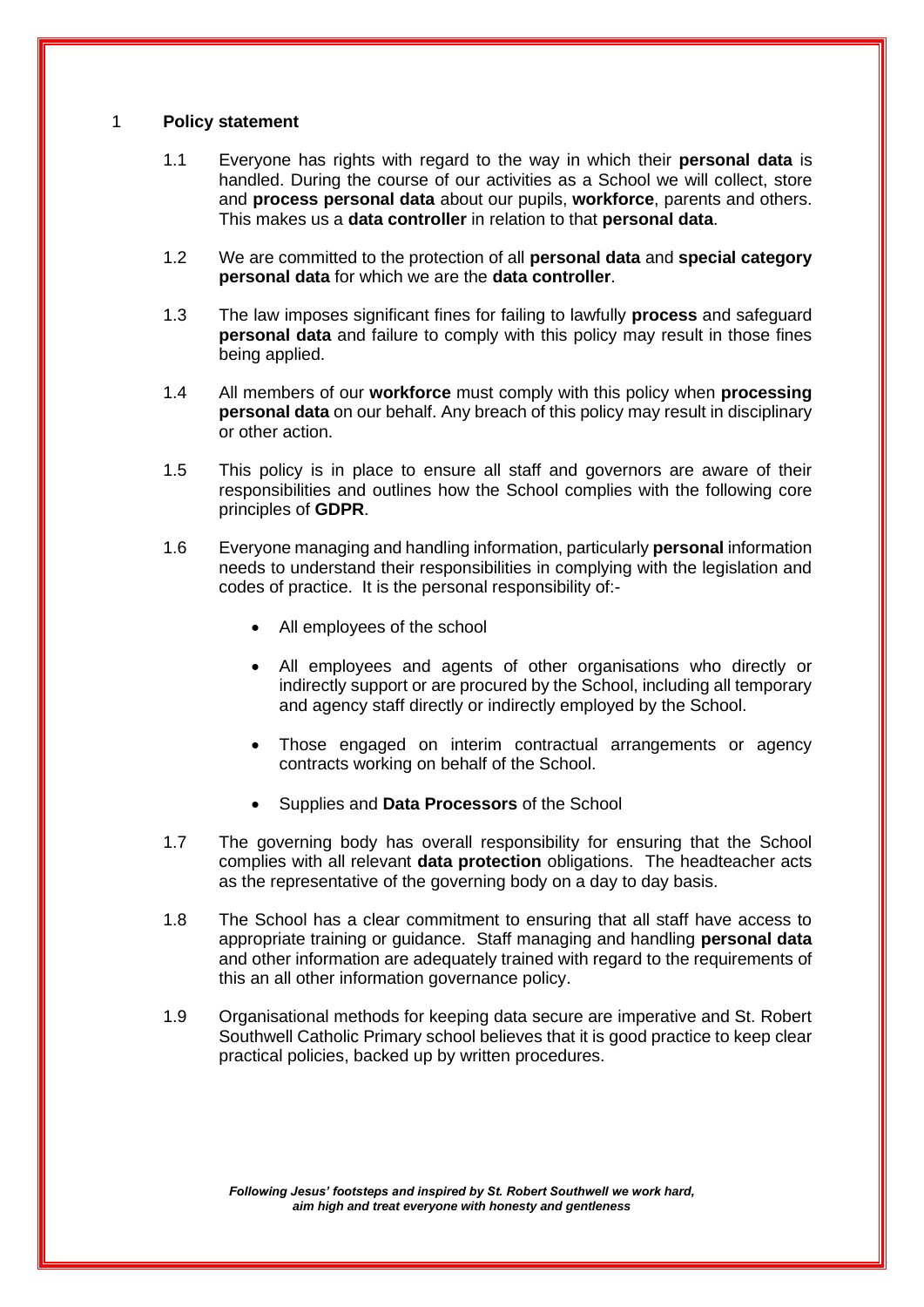#### 1 **Policy statement**

- 1.1 Everyone has rights with regard to the way in which their **personal data** is handled. During the course of our activities as a School we will collect, store and **process personal data** about our pupils, **workforce**, parents and others. This makes us a **data controller** in relation to that **personal data**.
- 1.2 We are committed to the protection of all **personal data** and **special category personal data** for which we are the **data controller**.
- 1.3 The law imposes significant fines for failing to lawfully **process** and safeguard **personal data** and failure to comply with this policy may result in those fines being applied.
- 1.4 All members of our **workforce** must comply with this policy when **processing personal data** on our behalf. Any breach of this policy may result in disciplinary or other action.
- 1.5 This policy is in place to ensure all staff and governors are aware of their responsibilities and outlines how the School complies with the following core principles of **GDPR**.
- 1.6 Everyone managing and handling information, particularly **personal** information needs to understand their responsibilities in complying with the legislation and codes of practice. It is the personal responsibility of:-
	- All employees of the school
	- All employees and agents of other organisations who directly or indirectly support or are procured by the School, including all temporary and agency staff directly or indirectly employed by the School.
	- Those engaged on interim contractual arrangements or agency contracts working on behalf of the School.
	- Supplies and **Data Processors** of the School
- 1.7 The governing body has overall responsibility for ensuring that the School complies with all relevant **data protection** obligations. The headteacher acts as the representative of the governing body on a day to day basis.
- 1.8 The School has a clear commitment to ensuring that all staff have access to appropriate training or guidance. Staff managing and handling **personal data** and other information are adequately trained with regard to the requirements of this an all other information governance policy.
- 1.9 Organisational methods for keeping data secure are imperative and St. Robert Southwell Catholic Primary school believes that it is good practice to keep clear practical policies, backed up by written procedures.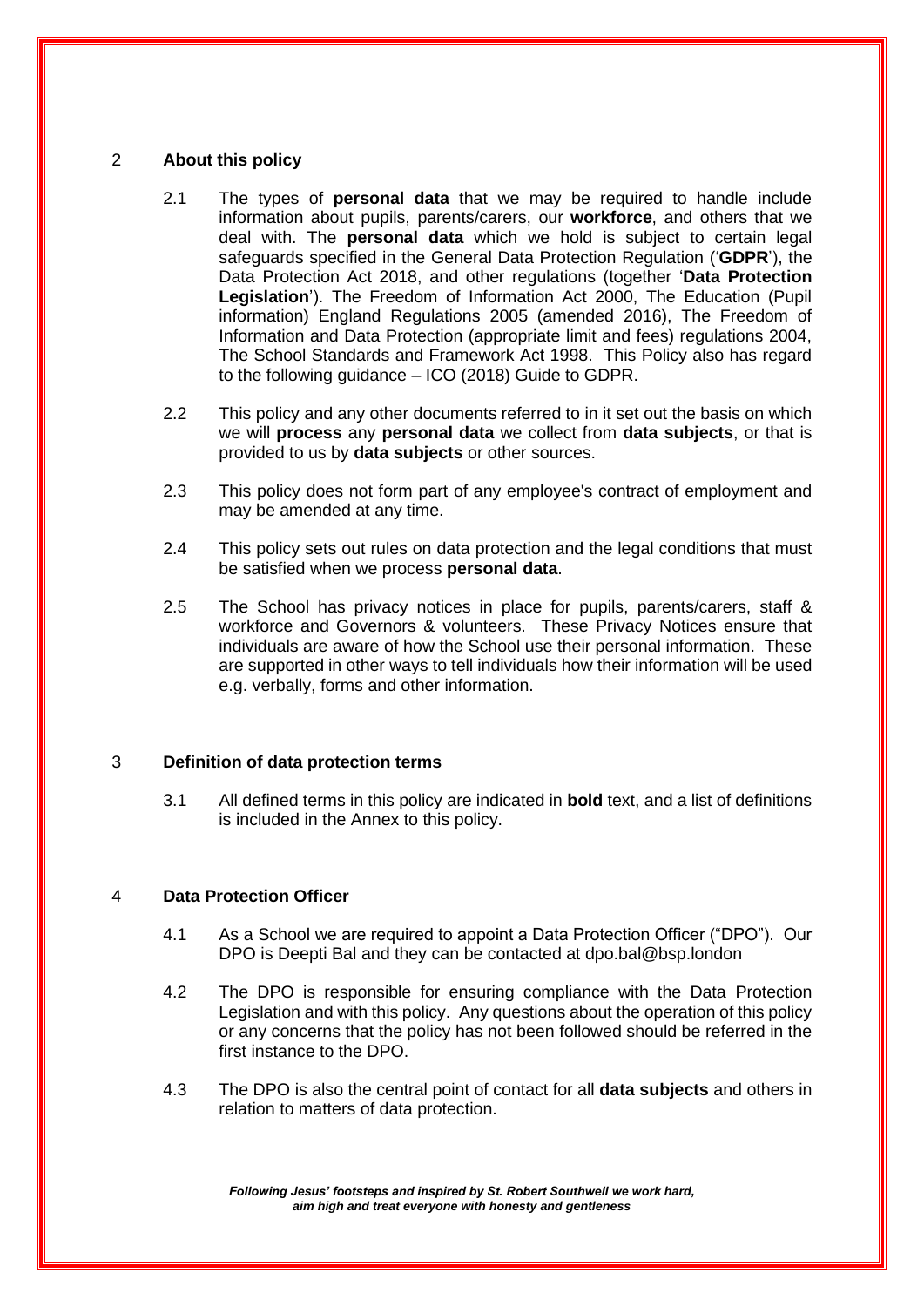#### 2 **About this policy**

- 2.1 The types of **personal data** that we may be required to handle include information about pupils, parents/carers, our **workforce**, and others that we deal with. The **personal data** which we hold is subject to certain legal safeguards specified in the General Data Protection Regulation ('**GDPR**'), the Data Protection Act 2018, and other regulations (together '**Data Protection Legislation**'). The Freedom of Information Act 2000, The Education (Pupil information) England Regulations 2005 (amended 2016), The Freedom of Information and Data Protection (appropriate limit and fees) regulations 2004, The School Standards and Framework Act 1998. This Policy also has regard to the following guidance – ICO (2018) Guide to GDPR.
- 2.2 This policy and any other documents referred to in it set out the basis on which we will **process** any **personal data** we collect from **data subjects**, or that is provided to us by **data subjects** or other sources.
- 2.3 This policy does not form part of any employee's contract of employment and may be amended at any time.
- 2.4 This policy sets out rules on data protection and the legal conditions that must be satisfied when we process **personal data**.
- 2.5 The School has privacy notices in place for pupils, parents/carers, staff & workforce and Governors & volunteers. These Privacy Notices ensure that individuals are aware of how the School use their personal information. These are supported in other ways to tell individuals how their information will be used e.g. verbally, forms and other information.

#### 3 **Definition of data protection terms**

3.1 All defined terms in this policy are indicated in **bold** text, and a list of definitions is included in the Annex to this policy.

#### 4 **Data Protection Officer**

- 4.1 As a School we are required to appoint a Data Protection Officer ("DPO"). Our DPO is Deepti Bal and they can be contacted at dpo.bal@bsp.london
- 4.2 The DPO is responsible for ensuring compliance with the Data Protection Legislation and with this policy. Any questions about the operation of this policy or any concerns that the policy has not been followed should be referred in the first instance to the DPO.
- 4.3 The DPO is also the central point of contact for all **data subjects** and others in relation to matters of data protection.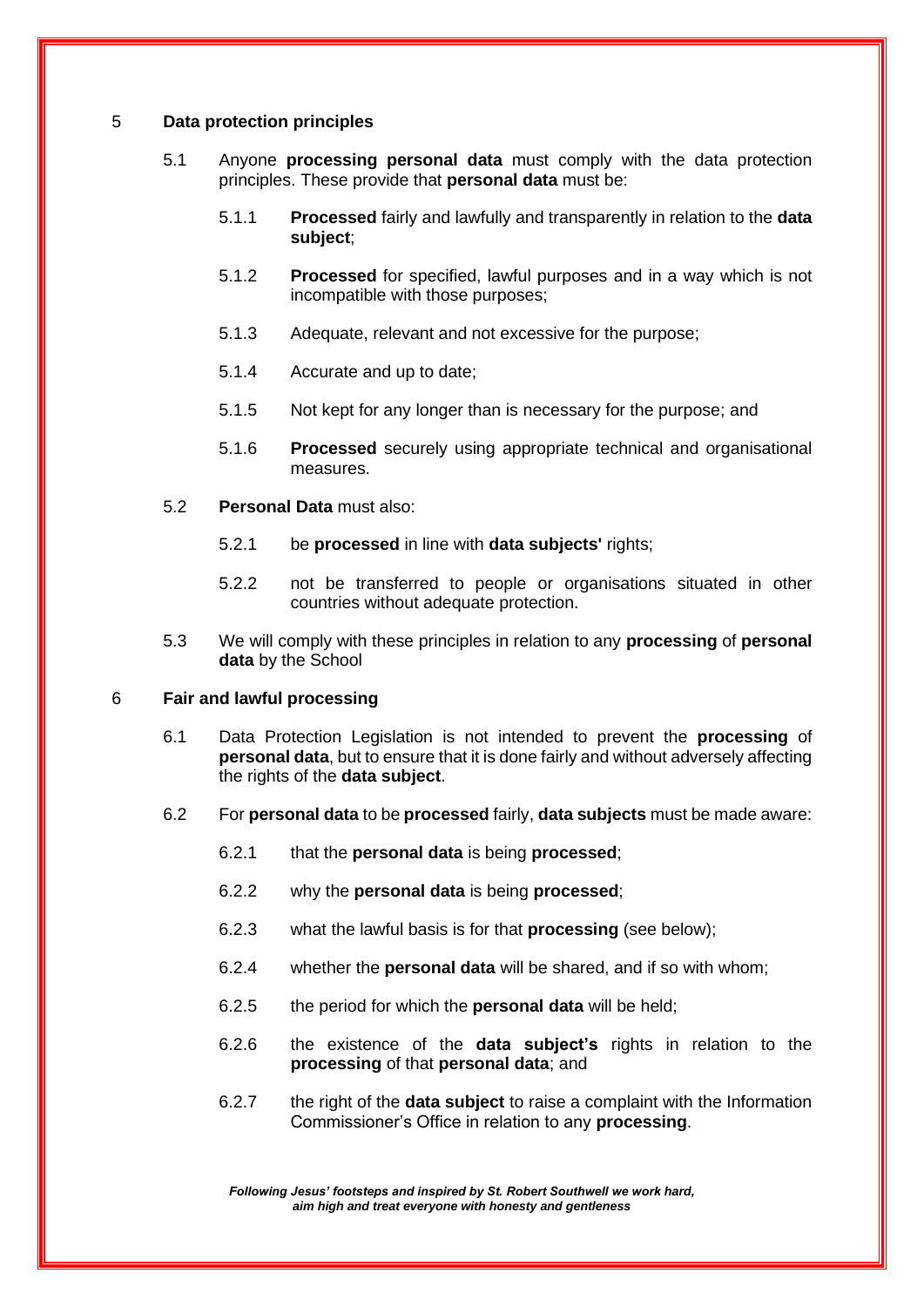#### 5 **Data protection principles**

- 5.1 Anyone **processing personal data** must comply with the data protection principles. These provide that **personal data** must be:
	- 5.1.1 **Processed** fairly and lawfully and transparently in relation to the **data subject**;
	- 5.1.2 **Processed** for specified, lawful purposes and in a way which is not incompatible with those purposes;
	- 5.1.3 Adequate, relevant and not excessive for the purpose;
	- 5.1.4 Accurate and up to date;
	- 5.1.5 Not kept for any longer than is necessary for the purpose; and
	- 5.1.6 **Processed** securely using appropriate technical and organisational measures.
- 5.2 **Personal Data** must also:
	- 5.2.1 be **processed** in line with **data subjects'** rights;
	- 5.2.2 not be transferred to people or organisations situated in other countries without adequate protection.
- 5.3 We will comply with these principles in relation to any **processing** of **personal data** by the School

#### 6 **Fair and lawful processing**

- 6.1 Data Protection Legislation is not intended to prevent the **processing** of **personal data**, but to ensure that it is done fairly and without adversely affecting the rights of the **data subject**.
- 6.2 For **personal data** to be **processed** fairly, **data subjects** must be made aware:
	- 6.2.1 that the **personal data** is being **processed**;
	- 6.2.2 why the **personal data** is being **processed**;
	- 6.2.3 what the lawful basis is for that **processing** (see below);
	- 6.2.4 whether the **personal data** will be shared, and if so with whom;
	- 6.2.5 the period for which the **personal data** will be held;
	- 6.2.6 the existence of the **data subject's** rights in relation to the **processing** of that **personal data**; and
	- 6.2.7 the right of the **data subject** to raise a complaint with the Information Commissioner's Office in relation to any **processing**.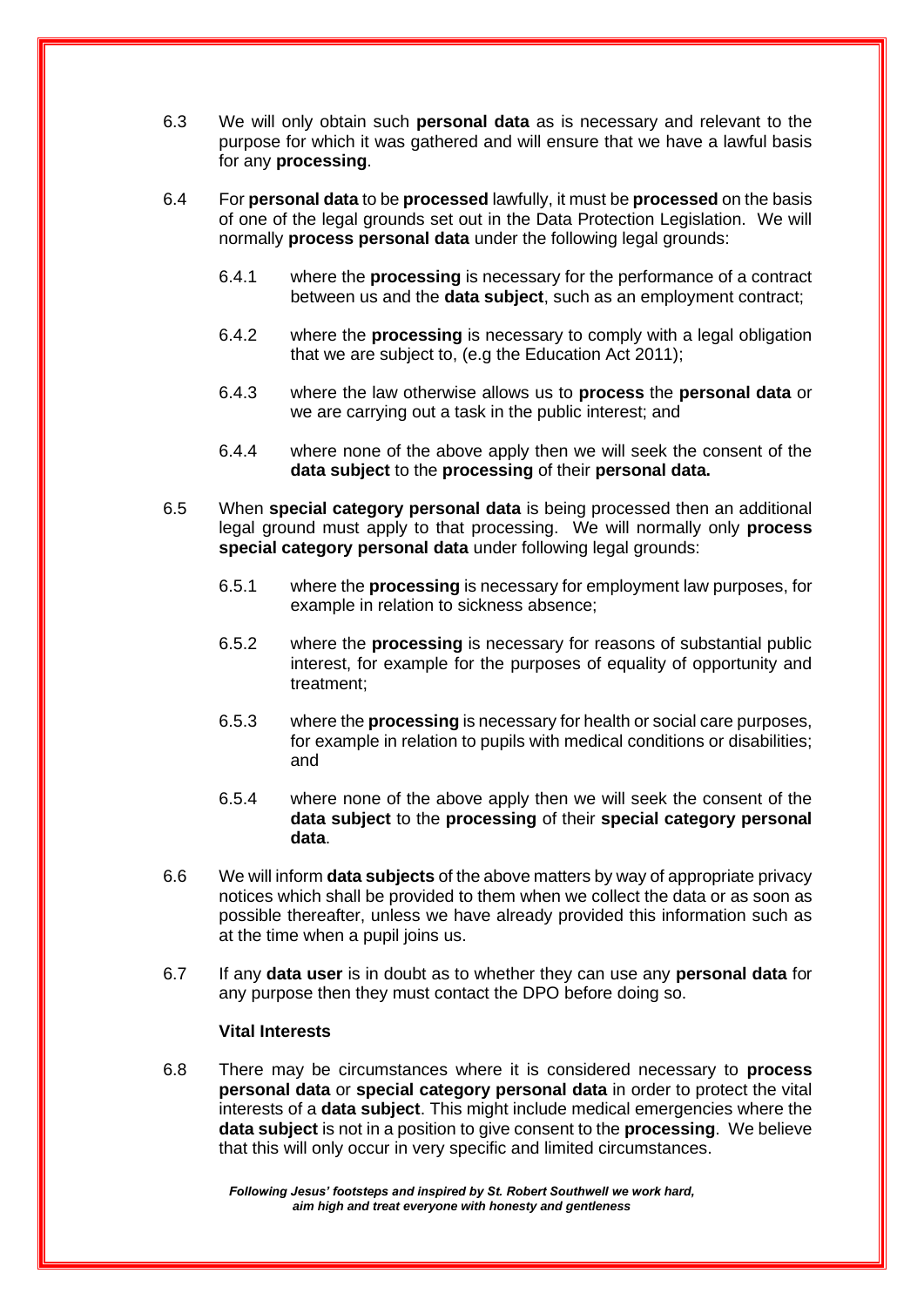- 6.3 We will only obtain such **personal data** as is necessary and relevant to the purpose for which it was gathered and will ensure that we have a lawful basis for any **processing**.
- 6.4 For **personal data** to be **processed** lawfully, it must be **processed** on the basis of one of the legal grounds set out in the Data Protection Legislation. We will normally **process personal data** under the following legal grounds:
	- 6.4.1 where the **processing** is necessary for the performance of a contract between us and the **data subject**, such as an employment contract;
	- 6.4.2 where the **processing** is necessary to comply with a legal obligation that we are subject to, (e.g the Education Act 2011);
	- 6.4.3 where the law otherwise allows us to **process** the **personal data** or we are carrying out a task in the public interest; and
	- 6.4.4 where none of the above apply then we will seek the consent of the **data subject** to the **processing** of their **personal data.**
- 6.5 When **special category personal data** is being processed then an additional legal ground must apply to that processing. We will normally only **process special category personal data** under following legal grounds:
	- 6.5.1 where the **processing** is necessary for employment law purposes, for example in relation to sickness absence;
	- 6.5.2 where the **processing** is necessary for reasons of substantial public interest, for example for the purposes of equality of opportunity and treatment;
	- 6.5.3 where the **processing** is necessary for health or social care purposes, for example in relation to pupils with medical conditions or disabilities; and
	- 6.5.4 where none of the above apply then we will seek the consent of the **data subject** to the **processing** of their **special category personal data**.
- 6.6 We will inform **data subjects** of the above matters by way of appropriate privacy notices which shall be provided to them when we collect the data or as soon as possible thereafter, unless we have already provided this information such as at the time when a pupil joins us.
- 6.7 If any **data user** is in doubt as to whether they can use any **personal data** for any purpose then they must contact the DPO before doing so.

#### **Vital Interests**

6.8 There may be circumstances where it is considered necessary to **process personal data** or **special category personal data** in order to protect the vital interests of a **data subject**. This might include medical emergencies where the **data subject** is not in a position to give consent to the **processing**. We believe that this will only occur in very specific and limited circumstances.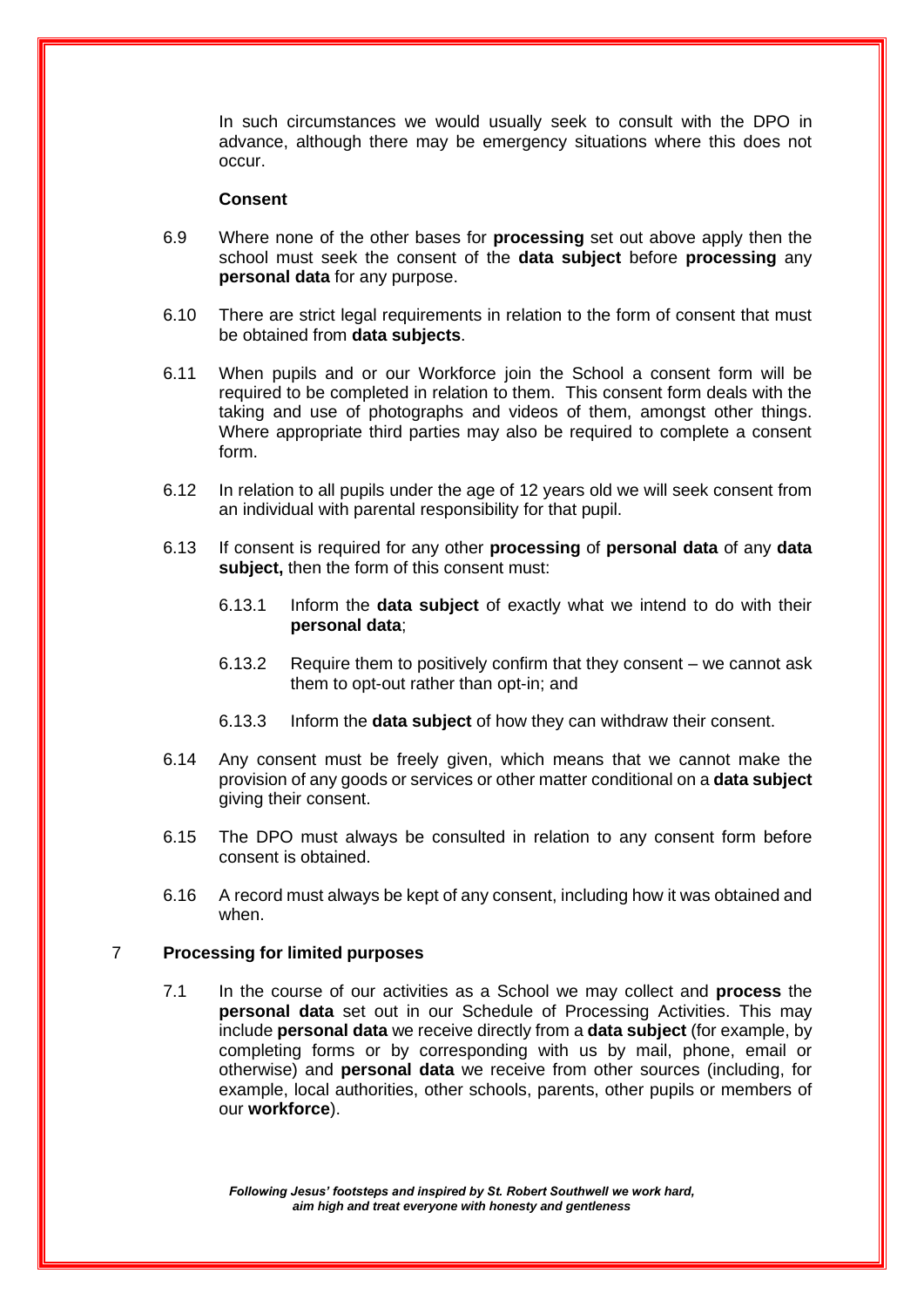In such circumstances we would usually seek to consult with the DPO in advance, although there may be emergency situations where this does not occur.

#### **Consent**

- 6.9 Where none of the other bases for **processing** set out above apply then the school must seek the consent of the **data subject** before **processing** any **personal data** for any purpose.
- 6.10 There are strict legal requirements in relation to the form of consent that must be obtained from **data subjects**.
- 6.11 When pupils and or our Workforce join the School a consent form will be required to be completed in relation to them. This consent form deals with the taking and use of photographs and videos of them, amongst other things. Where appropriate third parties may also be required to complete a consent form.
- 6.12 In relation to all pupils under the age of 12 years old we will seek consent from an individual with parental responsibility for that pupil.
- 6.13 If consent is required for any other **processing** of **personal data** of any **data subject,** then the form of this consent must:
	- 6.13.1 Inform the **data subject** of exactly what we intend to do with their **personal data**;
	- 6.13.2 Require them to positively confirm that they consent we cannot ask them to opt-out rather than opt-in; and
	- 6.13.3 Inform the **data subject** of how they can withdraw their consent.
- 6.14 Any consent must be freely given, which means that we cannot make the provision of any goods or services or other matter conditional on a **data subject** giving their consent.
- 6.15 The DPO must always be consulted in relation to any consent form before consent is obtained.
- 6.16 A record must always be kept of any consent, including how it was obtained and when.

#### 7 **Processing for limited purposes**

7.1 In the course of our activities as a School we may collect and **process** the **personal data** set out in our Schedule of Processing Activities. This may include **personal data** we receive directly from a **data subject** (for example, by completing forms or by corresponding with us by mail, phone, email or otherwise) and **personal data** we receive from other sources (including, for example, local authorities, other schools, parents, other pupils or members of our **workforce**).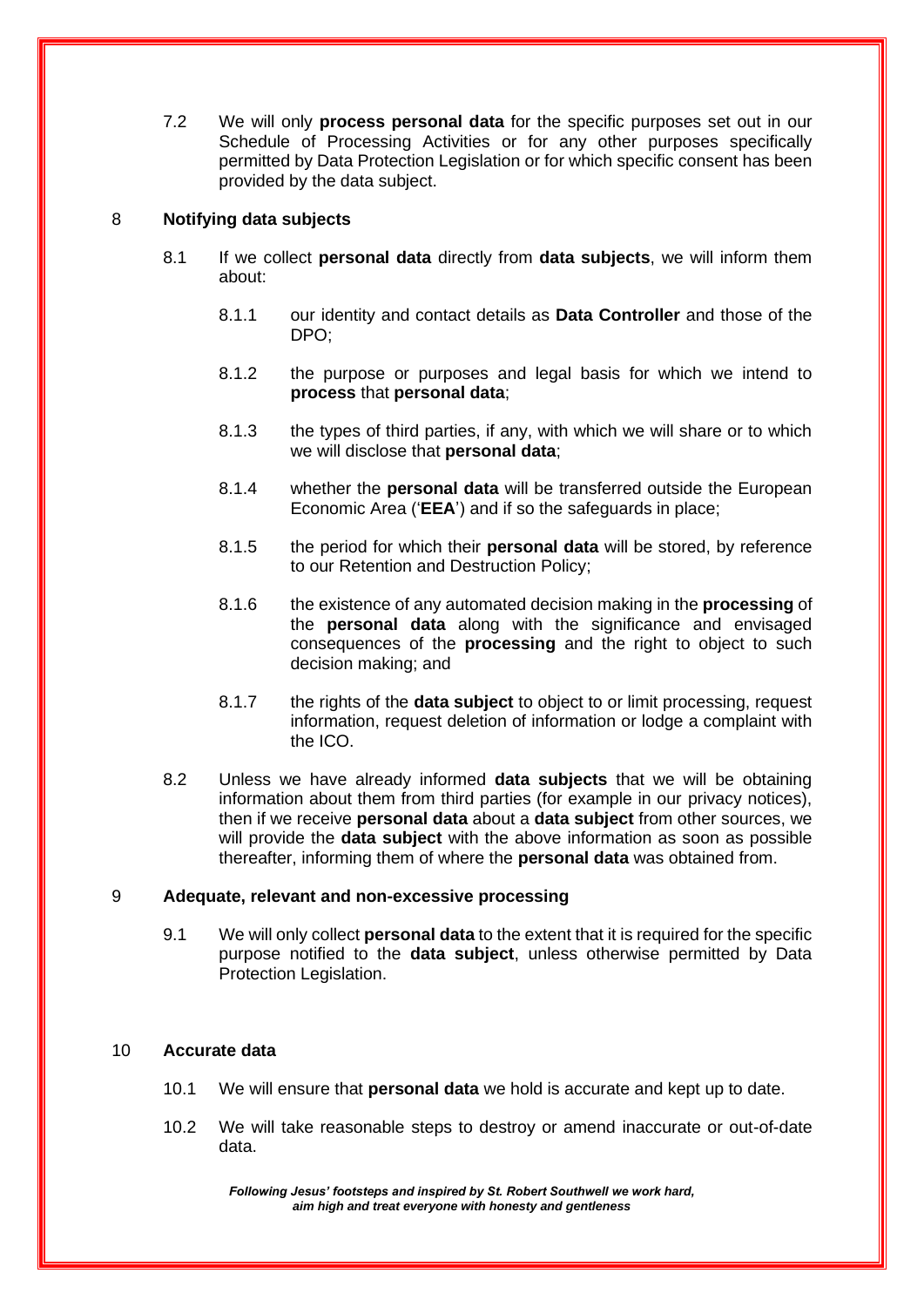7.2 We will only **process personal data** for the specific purposes set out in our Schedule of Processing Activities or for any other purposes specifically permitted by Data Protection Legislation or for which specific consent has been provided by the data subject.

#### 8 **Notifying data subjects**

- 8.1 If we collect **personal data** directly from **data subjects**, we will inform them about:
	- 8.1.1 our identity and contact details as **Data Controller** and those of the DPO;
	- 8.1.2 the purpose or purposes and legal basis for which we intend to **process** that **personal data**;
	- 8.1.3 the types of third parties, if any, with which we will share or to which we will disclose that **personal data**;
	- 8.1.4 whether the **personal data** will be transferred outside the European Economic Area ('**EEA**') and if so the safeguards in place;
	- 8.1.5 the period for which their **personal data** will be stored, by reference to our Retention and Destruction Policy;
	- 8.1.6 the existence of any automated decision making in the **processing** of the **personal data** along with the significance and envisaged consequences of the **processing** and the right to object to such decision making; and
	- 8.1.7 the rights of the **data subject** to object to or limit processing, request information, request deletion of information or lodge a complaint with the ICO.
- 8.2 Unless we have already informed **data subjects** that we will be obtaining information about them from third parties (for example in our privacy notices), then if we receive **personal data** about a **data subject** from other sources, we will provide the **data subject** with the above information as soon as possible thereafter, informing them of where the **personal data** was obtained from.

#### 9 **Adequate, relevant and non-excessive processing**

9.1 We will only collect **personal data** to the extent that it is required for the specific purpose notified to the **data subject**, unless otherwise permitted by Data Protection Legislation.

#### 10 **Accurate data**

- 10.1 We will ensure that **personal data** we hold is accurate and kept up to date.
- 10.2 We will take reasonable steps to destroy or amend inaccurate or out-of-date data.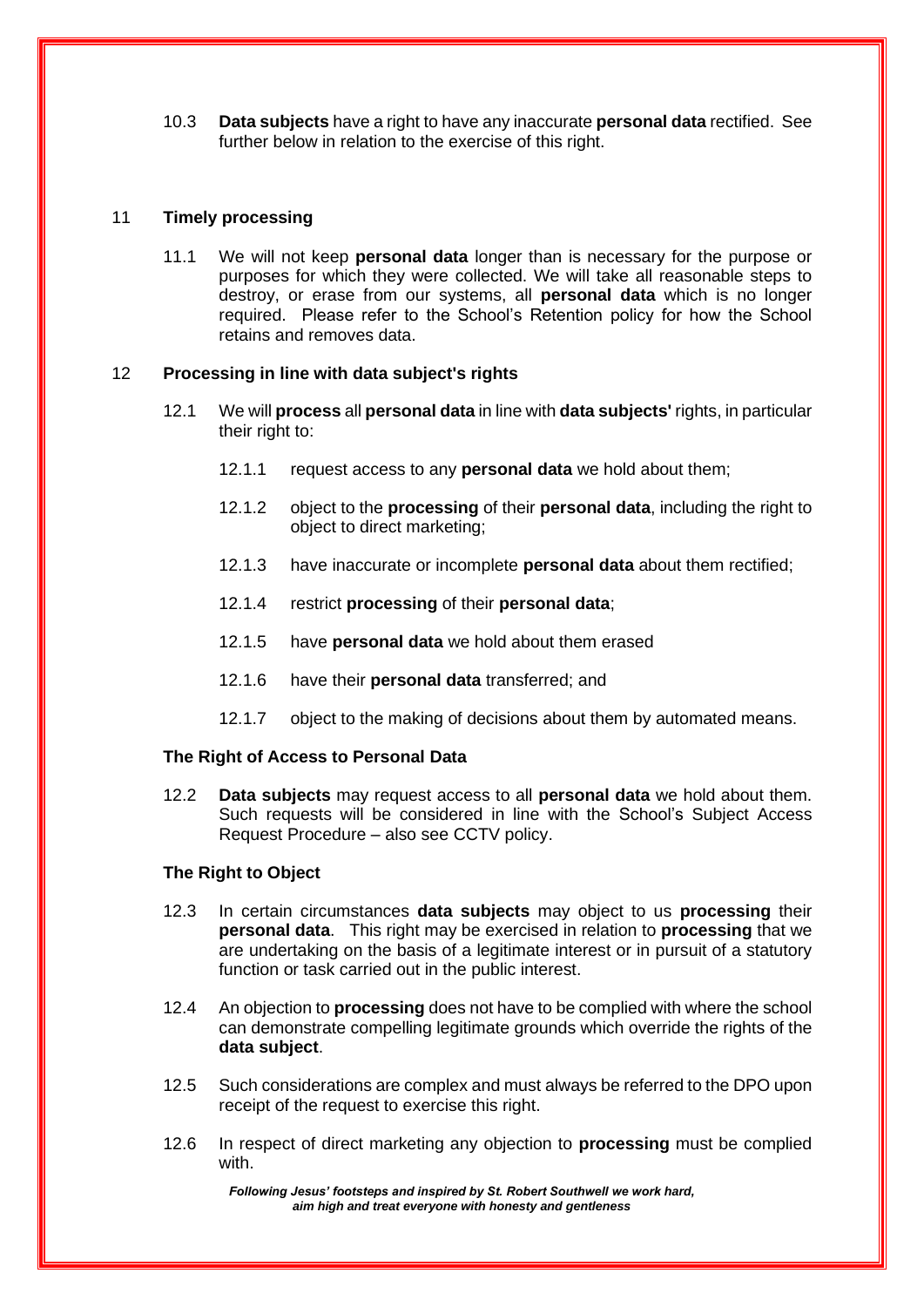10.3 **Data subjects** have a right to have any inaccurate **personal data** rectified. See further below in relation to the exercise of this right.

#### 11 **Timely processing**

11.1 We will not keep **personal data** longer than is necessary for the purpose or purposes for which they were collected. We will take all reasonable steps to destroy, or erase from our systems, all **personal data** which is no longer required. Please refer to the School's Retention policy for how the School retains and removes data.

#### 12 **Processing in line with data subject's rights**

- 12.1 We will **process** all **personal data** in line with **data subjects'** rights, in particular their right to:
	- 12.1.1 request access to any **personal data** we hold about them;
	- 12.1.2 object to the **processing** of their **personal data**, including the right to object to direct marketing;
	- 12.1.3 have inaccurate or incomplete **personal data** about them rectified;
	- 12.1.4 restrict **processing** of their **personal data**;
	- 12.1.5 have **personal data** we hold about them erased
	- 12.1.6 have their **personal data** transferred; and
	- 12.1.7 object to the making of decisions about them by automated means.

#### **The Right of Access to Personal Data**

12.2 **Data subjects** may request access to all **personal data** we hold about them. Such requests will be considered in line with the School's Subject Access Request Procedure – also see CCTV policy.

#### **The Right to Object**

- 12.3 In certain circumstances **data subjects** may object to us **processing** their **personal data**. This right may be exercised in relation to **processing** that we are undertaking on the basis of a legitimate interest or in pursuit of a statutory function or task carried out in the public interest.
- 12.4 An objection to **processing** does not have to be complied with where the school can demonstrate compelling legitimate grounds which override the rights of the **data subject**.
- 12.5 Such considerations are complex and must always be referred to the DPO upon receipt of the request to exercise this right.
- 12.6 In respect of direct marketing any objection to **processing** must be complied with.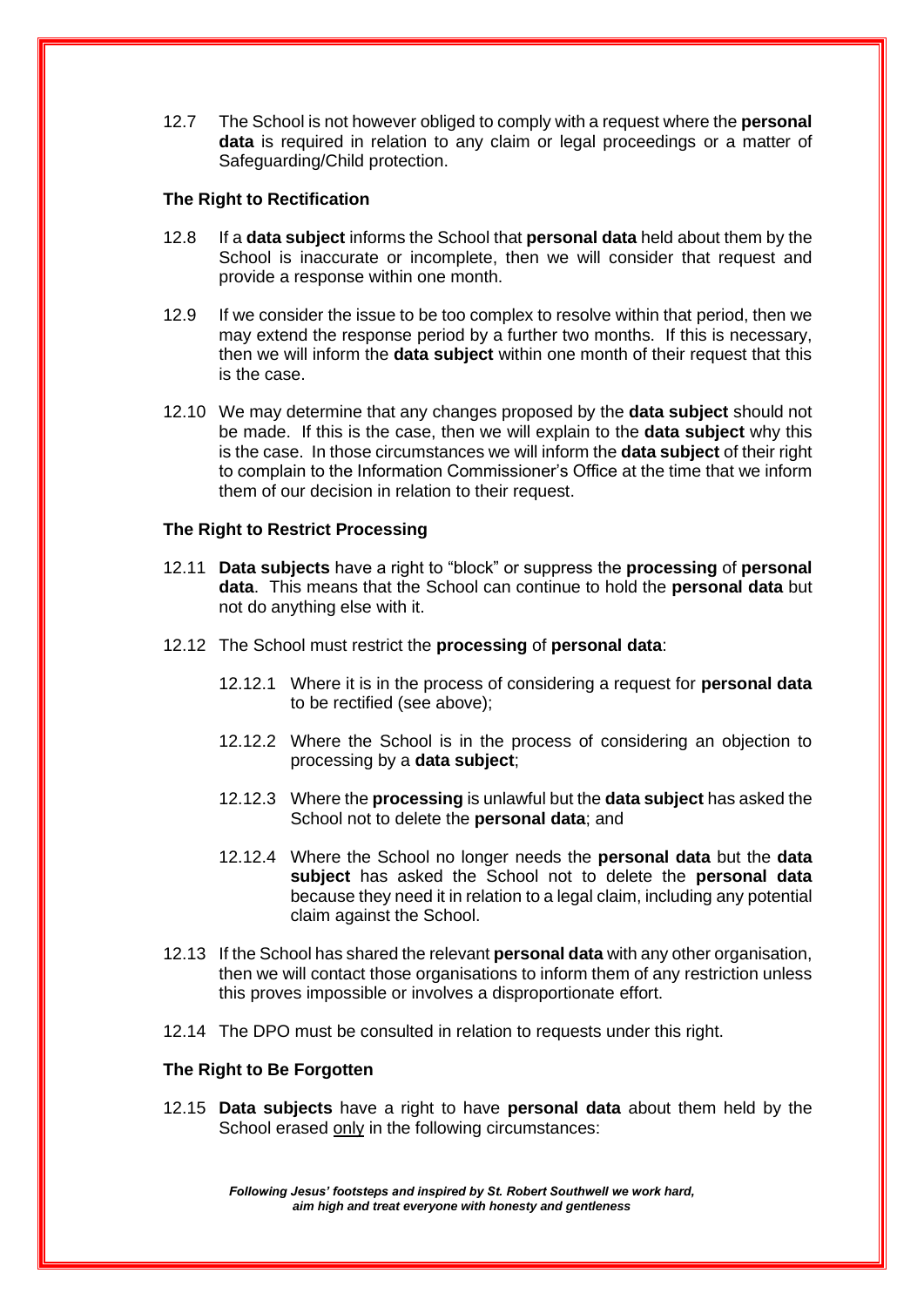12.7 The School is not however obliged to comply with a request where the **personal data** is required in relation to any claim or legal proceedings or a matter of Safeguarding/Child protection.

#### **The Right to Rectification**

- 12.8 If a **data subject** informs the School that **personal data** held about them by the School is inaccurate or incomplete, then we will consider that request and provide a response within one month.
- 12.9 If we consider the issue to be too complex to resolve within that period, then we may extend the response period by a further two months. If this is necessary, then we will inform the **data subject** within one month of their request that this is the case.
- 12.10 We may determine that any changes proposed by the **data subject** should not be made. If this is the case, then we will explain to the **data subject** why this is the case. In those circumstances we will inform the **data subject** of their right to complain to the Information Commissioner's Office at the time that we inform them of our decision in relation to their request.

#### **The Right to Restrict Processing**

- 12.11 **Data subjects** have a right to "block" or suppress the **processing** of **personal data**. This means that the School can continue to hold the **personal data** but not do anything else with it.
- 12.12 The School must restrict the **processing** of **personal data**:
	- 12.12.1 Where it is in the process of considering a request for **personal data** to be rectified (see above);
	- 12.12.2 Where the School is in the process of considering an objection to processing by a **data subject**;
	- 12.12.3 Where the **processing** is unlawful but the **data subject** has asked the School not to delete the **personal data**; and
	- 12.12.4 Where the School no longer needs the **personal data** but the **data subject** has asked the School not to delete the **personal data** because they need it in relation to a legal claim, including any potential claim against the School.
- 12.13 If the School has shared the relevant **personal data** with any other organisation, then we will contact those organisations to inform them of any restriction unless this proves impossible or involves a disproportionate effort.
- 12.14 The DPO must be consulted in relation to requests under this right.

#### **The Right to Be Forgotten**

12.15 **Data subjects** have a right to have **personal data** about them held by the School erased only in the following circumstances: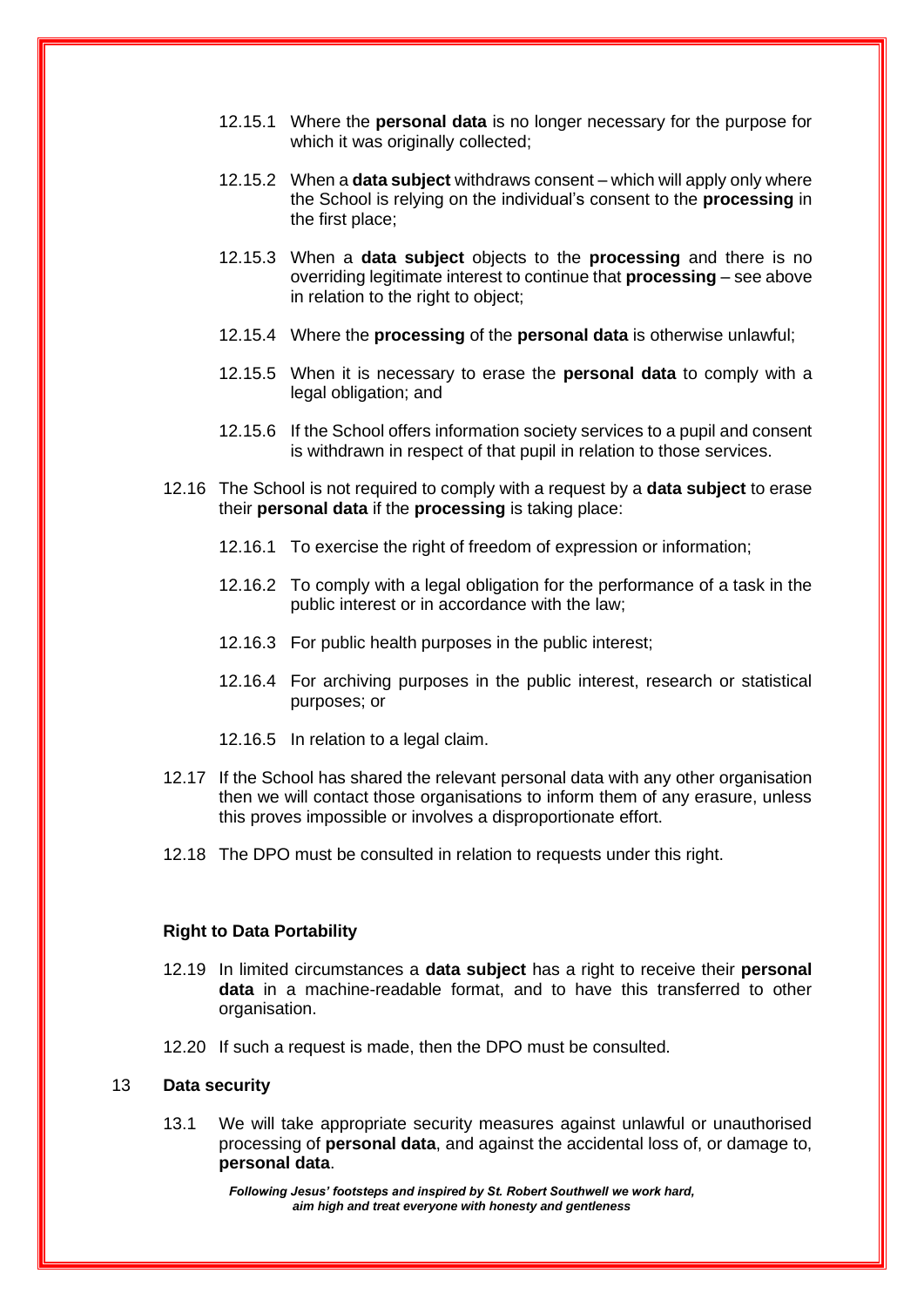- 12.15.1 Where the **personal data** is no longer necessary for the purpose for which it was originally collected;
- 12.15.2 When a **data subject** withdraws consent which will apply only where the School is relying on the individual's consent to the **processing** in the first place;
- 12.15.3 When a **data subject** objects to the **processing** and there is no overriding legitimate interest to continue that **processing** – see above in relation to the right to object;
- 12.15.4 Where the **processing** of the **personal data** is otherwise unlawful;
- 12.15.5 When it is necessary to erase the **personal data** to comply with a legal obligation; and
- 12.15.6 If the School offers information society services to a pupil and consent is withdrawn in respect of that pupil in relation to those services.
- 12.16 The School is not required to comply with a request by a **data subject** to erase their **personal data** if the **processing** is taking place:
	- 12.16.1 To exercise the right of freedom of expression or information;
	- 12.16.2 To comply with a legal obligation for the performance of a task in the public interest or in accordance with the law;
	- 12.16.3 For public health purposes in the public interest;
	- 12.16.4 For archiving purposes in the public interest, research or statistical purposes; or
	- 12.16.5 In relation to a legal claim.
- 12.17 If the School has shared the relevant personal data with any other organisation then we will contact those organisations to inform them of any erasure, unless this proves impossible or involves a disproportionate effort.
- 12.18 The DPO must be consulted in relation to requests under this right.

#### **Right to Data Portability**

- 12.19 In limited circumstances a **data subject** has a right to receive their **personal data** in a machine-readable format, and to have this transferred to other organisation.
- 12.20 If such a request is made, then the DPO must be consulted.

#### 13 **Data security**

13.1 We will take appropriate security measures against unlawful or unauthorised processing of **personal data**, and against the accidental loss of, or damage to, **personal data**.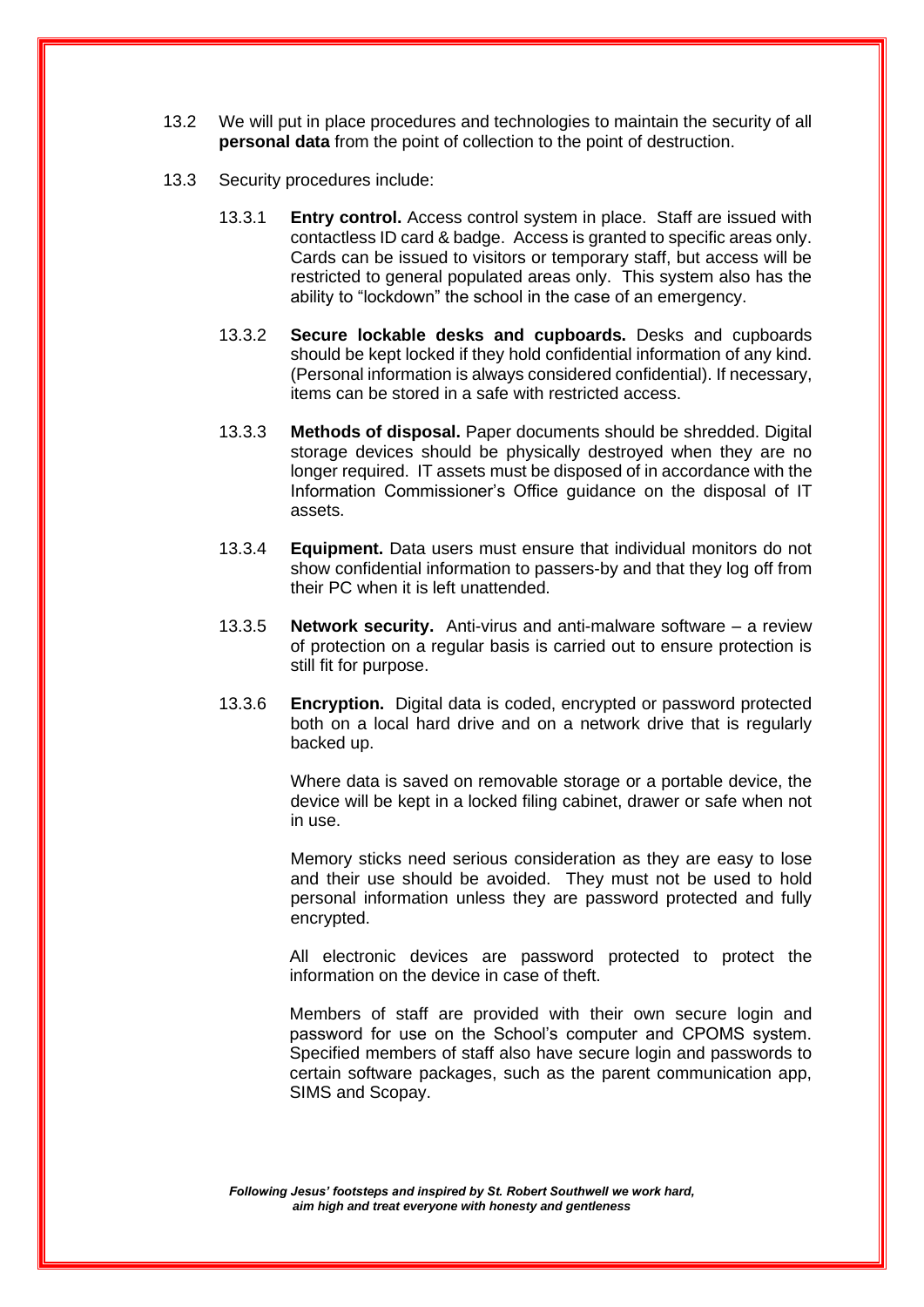- 13.2 We will put in place procedures and technologies to maintain the security of all **personal data** from the point of collection to the point of destruction.
- 13.3 Security procedures include:
	- 13.3.1 **Entry control.** Access control system in place. Staff are issued with contactless ID card & badge. Access is granted to specific areas only. Cards can be issued to visitors or temporary staff, but access will be restricted to general populated areas only. This system also has the ability to "lockdown" the school in the case of an emergency.
	- 13.3.2 **Secure lockable desks and cupboards.** Desks and cupboards should be kept locked if they hold confidential information of any kind. (Personal information is always considered confidential). If necessary, items can be stored in a safe with restricted access.
	- 13.3.3 **Methods of disposal.** Paper documents should be shredded. Digital storage devices should be physically destroyed when they are no longer required. IT assets must be disposed of in accordance with the Information Commissioner's Office guidance on the disposal of IT assets.
	- 13.3.4 **Equipment.** Data users must ensure that individual monitors do not show confidential information to passers-by and that they log off from their PC when it is left unattended.
	- 13.3.5 **Network security.** Anti-virus and anti-malware software a review of protection on a regular basis is carried out to ensure protection is still fit for purpose.
	- 13.3.6 **Encryption.** Digital data is coded, encrypted or password protected both on a local hard drive and on a network drive that is regularly backed up.

Where data is saved on removable storage or a portable device, the device will be kept in a locked filing cabinet, drawer or safe when not in use.

Memory sticks need serious consideration as they are easy to lose and their use should be avoided. They must not be used to hold personal information unless they are password protected and fully encrypted.

All electronic devices are password protected to protect the information on the device in case of theft.

Members of staff are provided with their own secure login and password for use on the School's computer and CPOMS system. Specified members of staff also have secure login and passwords to certain software packages, such as the parent communication app, SIMS and Scopay.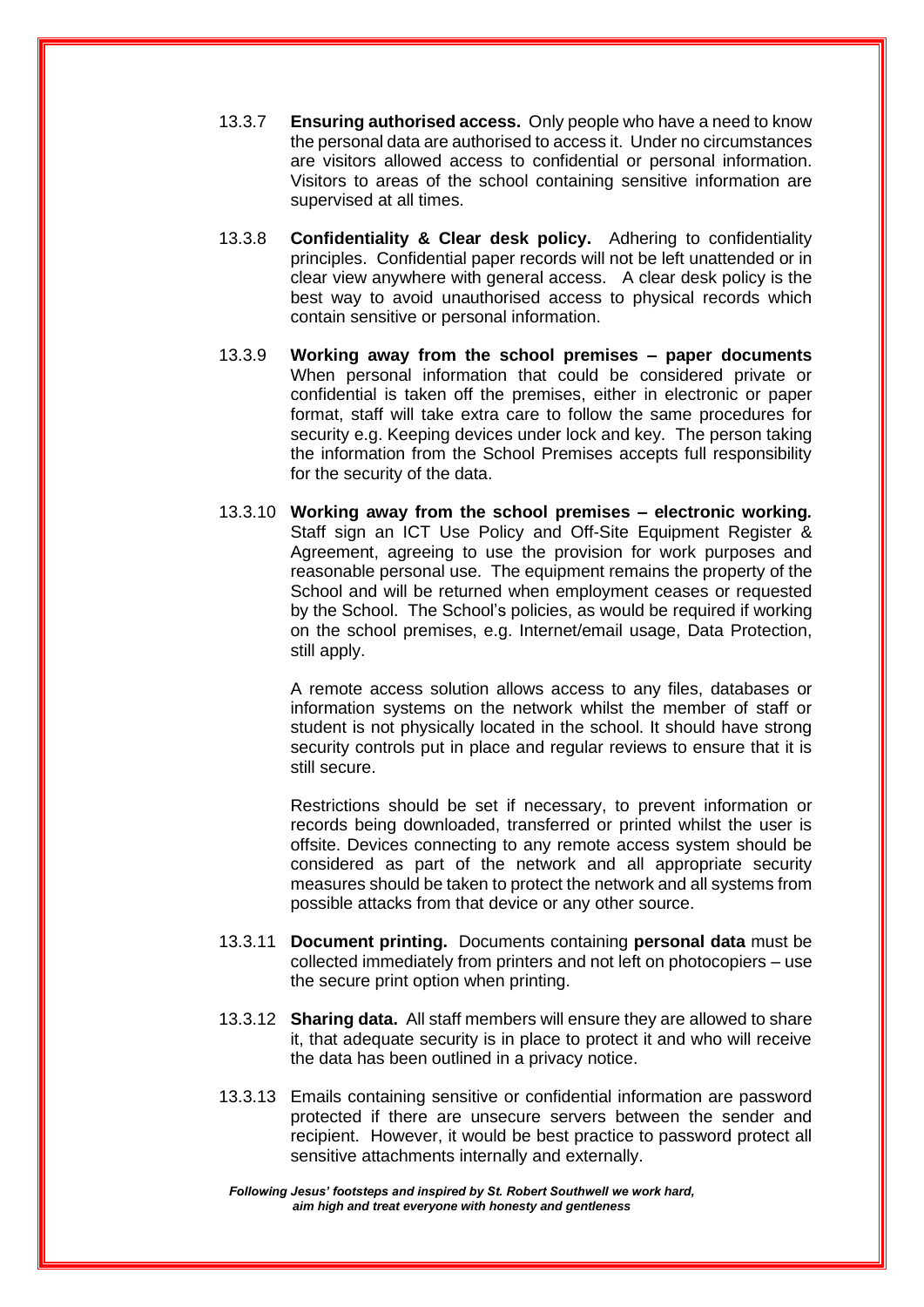- 13.3.7 **Ensuring authorised access.** Only people who have a need to know the personal data are authorised to access it. Under no circumstances are visitors allowed access to confidential or personal information. Visitors to areas of the school containing sensitive information are supervised at all times.
- 13.3.8 **Confidentiality & Clear desk policy.** Adhering to confidentiality principles. Confidential paper records will not be left unattended or in clear view anywhere with general access. A clear desk policy is the best way to avoid unauthorised access to physical records which contain sensitive or personal information.
- 13.3.9 **Working away from the school premises – paper documents**  When personal information that could be considered private or confidential is taken off the premises, either in electronic or paper format, staff will take extra care to follow the same procedures for security e.g. Keeping devices under lock and key. The person taking the information from the School Premises accepts full responsibility for the security of the data.
- 13.3.10 **Working away from the school premises – electronic working***.*  Staff sign an ICT Use Policy and Off-Site Equipment Register & Agreement, agreeing to use the provision for work purposes and reasonable personal use. The equipment remains the property of the School and will be returned when employment ceases or requested by the School. The School's policies, as would be required if working on the school premises, e.g. Internet/email usage, Data Protection, still apply.

A remote access solution allows access to any files, databases or information systems on the network whilst the member of staff or student is not physically located in the school. It should have strong security controls put in place and regular reviews to ensure that it is still secure.

Restrictions should be set if necessary, to prevent information or records being downloaded, transferred or printed whilst the user is offsite. Devices connecting to any remote access system should be considered as part of the network and all appropriate security measures should be taken to protect the network and all systems from possible attacks from that device or any other source.

- 13.3.11 **Document printing.** Documents containing **personal data** must be collected immediately from printers and not left on photocopiers – use the secure print option when printing.
- 13.3.12 **Sharing data.** All staff members will ensure they are allowed to share it, that adequate security is in place to protect it and who will receive the data has been outlined in a privacy notice.
- 13.3.13 Emails containing sensitive or confidential information are password protected if there are unsecure servers between the sender and recipient. However, it would be best practice to password protect all sensitive attachments internally and externally.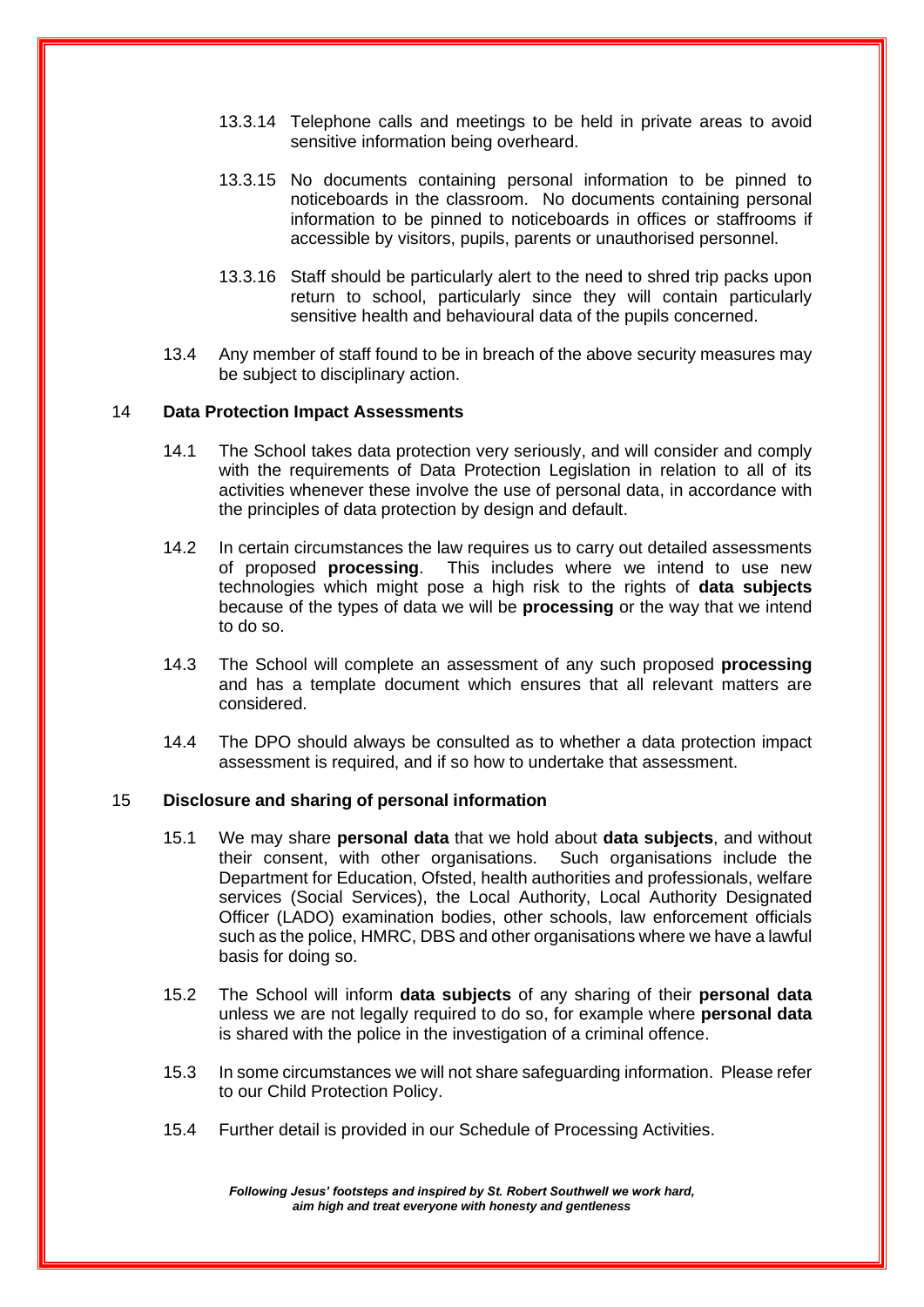- 13.3.14 Telephone calls and meetings to be held in private areas to avoid sensitive information being overheard.
- 13.3.15 No documents containing personal information to be pinned to noticeboards in the classroom. No documents containing personal information to be pinned to noticeboards in offices or staffrooms if accessible by visitors, pupils, parents or unauthorised personnel.
- 13.3.16 Staff should be particularly alert to the need to shred trip packs upon return to school, particularly since they will contain particularly sensitive health and behavioural data of the pupils concerned.
- 13.4 Any member of staff found to be in breach of the above security measures may be subject to disciplinary action.

#### 14 **Data Protection Impact Assessments**

- 14.1 The School takes data protection very seriously, and will consider and comply with the requirements of Data Protection Legislation in relation to all of its activities whenever these involve the use of personal data, in accordance with the principles of data protection by design and default.
- 14.2 In certain circumstances the law requires us to carry out detailed assessments of proposed **processing**. This includes where we intend to use new technologies which might pose a high risk to the rights of **data subjects**  because of the types of data we will be **processing** or the way that we intend to do so.
- 14.3 The School will complete an assessment of any such proposed **processing** and has a template document which ensures that all relevant matters are considered.
- 14.4 The DPO should always be consulted as to whether a data protection impact assessment is required, and if so how to undertake that assessment.

#### 15 **Disclosure and sharing of personal information**

- 15.1 We may share **personal data** that we hold about **data subjects**, and without their consent, with other organisations. Such organisations include the Department for Education, Ofsted, health authorities and professionals, welfare services (Social Services), the Local Authority, Local Authority Designated Officer (LADO) examination bodies, other schools, law enforcement officials such as the police, HMRC, DBS and other organisations where we have a lawful basis for doing so.
- 15.2 The School will inform **data subjects** of any sharing of their **personal data** unless we are not legally required to do so, for example where **personal data** is shared with the police in the investigation of a criminal offence.
- 15.3 In some circumstances we will not share safeguarding information. Please refer to our Child Protection Policy.
- 15.4 Further detail is provided in our Schedule of Processing Activities.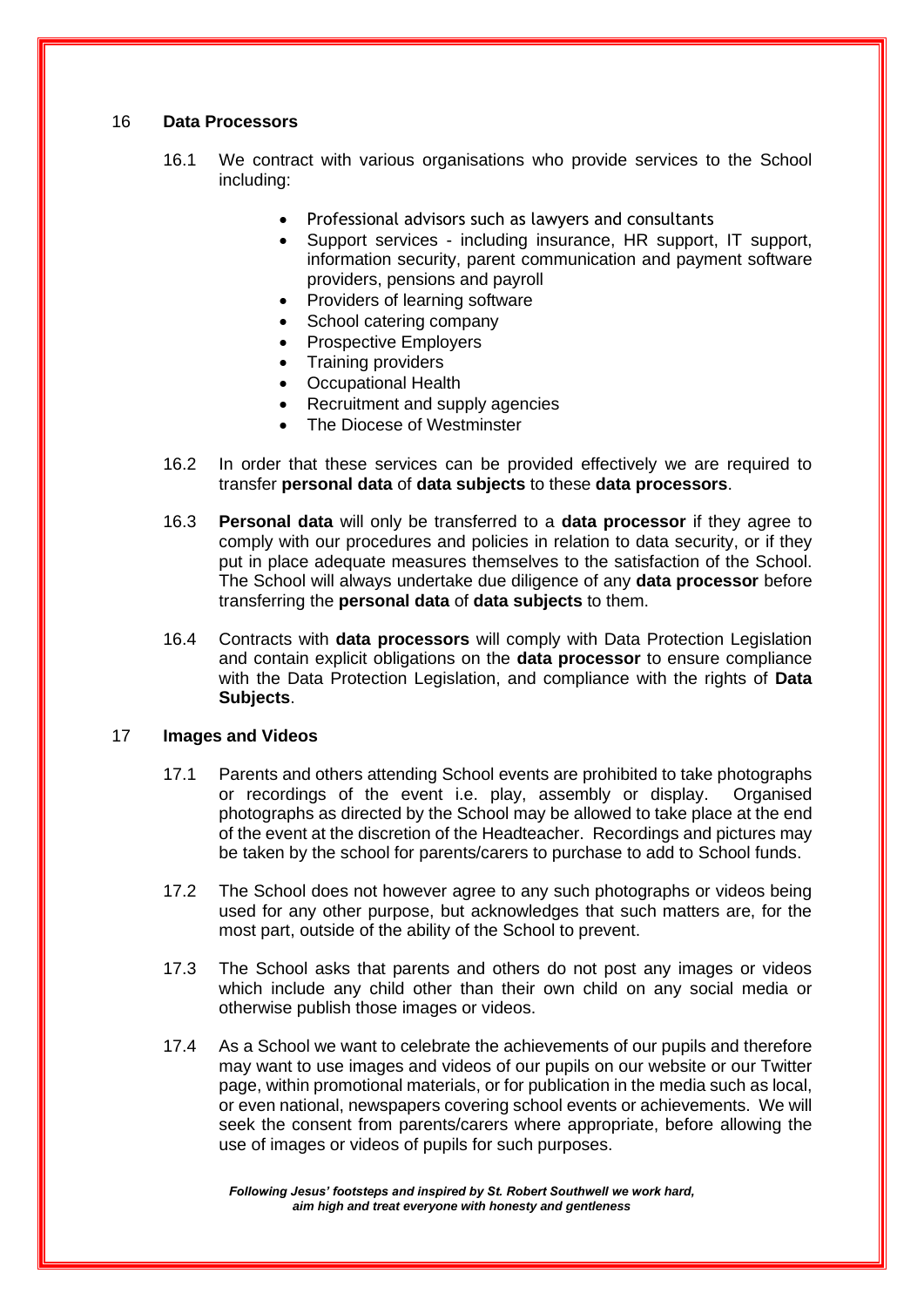#### 16 **Data Processors**

- 16.1 We contract with various organisations who provide services to the School including:
	- Professional advisors such as lawyers and consultants
	- Support services including insurance, HR support, IT support, information security, parent communication and payment software providers, pensions and payroll
	- Providers of learning software
	- School catering company
	- Prospective Employers
	- Training providers
	- Occupational Health
	- Recruitment and supply agencies
	- The Diocese of Westminster
- 16.2 In order that these services can be provided effectively we are required to transfer **personal data** of **data subjects** to these **data processors**.
- 16.3 **Personal data** will only be transferred to a **data processor** if they agree to comply with our procedures and policies in relation to data security, or if they put in place adequate measures themselves to the satisfaction of the School. The School will always undertake due diligence of any **data processor** before transferring the **personal data** of **data subjects** to them.
- 16.4 Contracts with **data processors** will comply with Data Protection Legislation and contain explicit obligations on the **data processor** to ensure compliance with the Data Protection Legislation, and compliance with the rights of **Data Subjects**.

#### 17 **Images and Videos**

- 17.1 Parents and others attending School events are prohibited to take photographs or recordings of the event i.e. play, assembly or display. Organised photographs as directed by the School may be allowed to take place at the end of the event at the discretion of the Headteacher. Recordings and pictures may be taken by the school for parents/carers to purchase to add to School funds.
- 17.2 The School does not however agree to any such photographs or videos being used for any other purpose, but acknowledges that such matters are, for the most part, outside of the ability of the School to prevent.
- 17.3 The School asks that parents and others do not post any images or videos which include any child other than their own child on any social media or otherwise publish those images or videos.
- 17.4 As a School we want to celebrate the achievements of our pupils and therefore may want to use images and videos of our pupils on our website or our Twitter page, within promotional materials, or for publication in the media such as local, or even national, newspapers covering school events or achievements. We will seek the consent from parents/carers where appropriate, before allowing the use of images or videos of pupils for such purposes.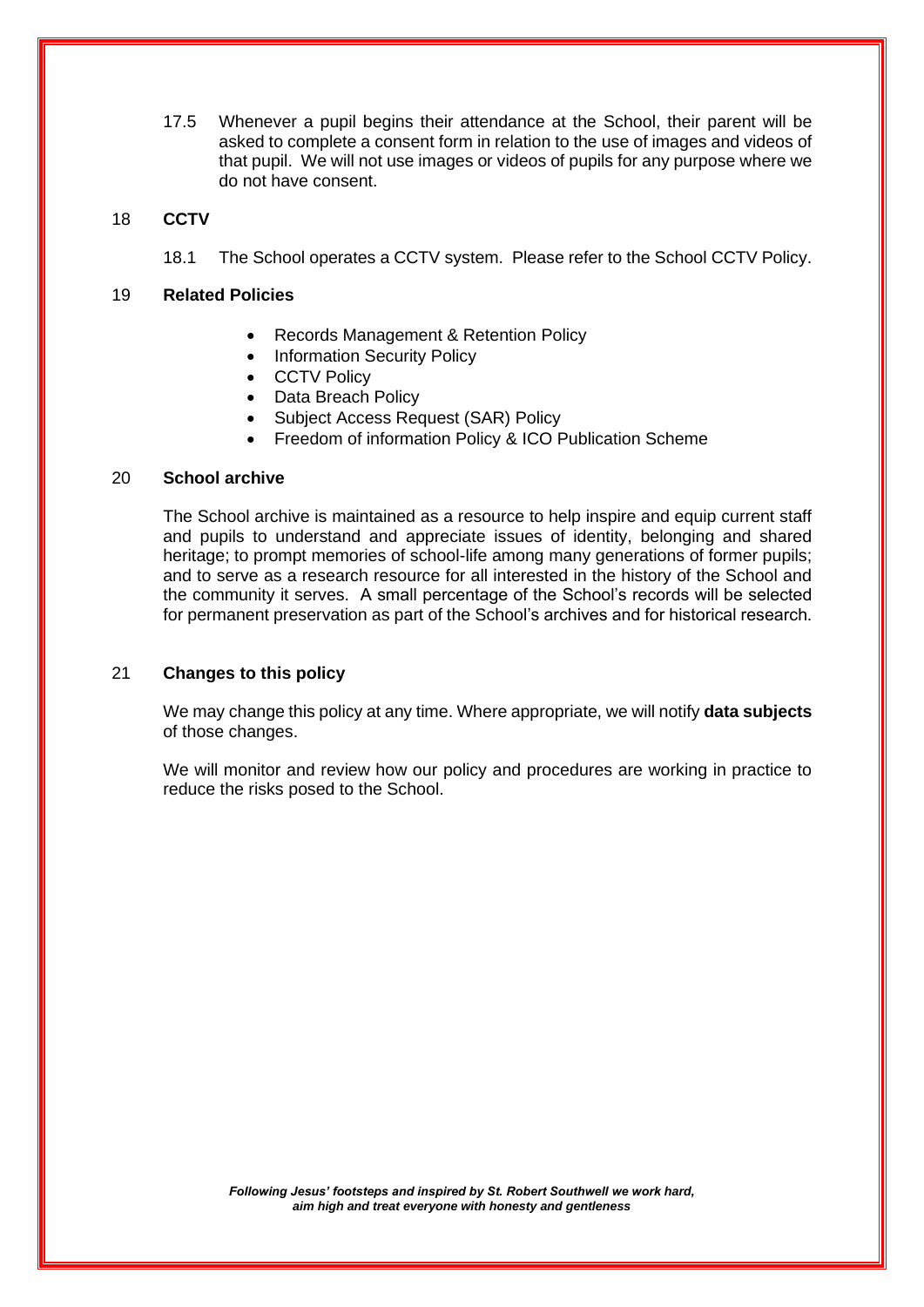17.5 Whenever a pupil begins their attendance at the School, their parent will be asked to complete a consent form in relation to the use of images and videos of that pupil. We will not use images or videos of pupils for any purpose where we do not have consent.

#### 18 **CCTV**

18.1 The School operates a CCTV system. Please refer to the School CCTV Policy.

#### 19 **Related Policies**

- Records Management & Retention Policy
- Information Security Policy
- CCTV Policy
- Data Breach Policy
- Subject Access Request (SAR) Policy
- Freedom of information Policy & ICO Publication Scheme

#### 20 **School archive**

The School archive is maintained as a resource to help inspire and equip current staff and pupils to understand and appreciate issues of identity, belonging and shared heritage; to prompt memories of school-life among many generations of former pupils; and to serve as a research resource for all interested in the history of the School and the community it serves. A small percentage of the School's records will be selected for permanent preservation as part of the School's archives and for historical research.

#### 21 **Changes to this policy**

We may change this policy at any time. Where appropriate, we will notify **data subjects** of those changes.

We will monitor and review how our policy and procedures are working in practice to reduce the risks posed to the School.